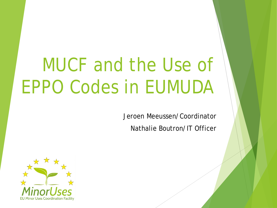# MUCF and the Use of EPPO Codes in EUMUDA

Jeroen Meeussen/Coordinator

Nathalie Boutron/IT Officer

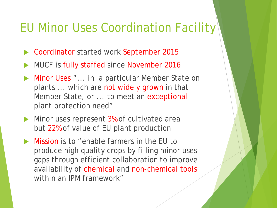### EU Minor Uses Coordination Facility

- ▶ Coordinator started work September 2015
- MUCF is fully staffed since November 2016
- **Minor Uses** "... in a particular Member State on plants ... which are not widely grown in that Member State, or ... to meet an exceptional plant protection need"
- Minor uses represent 3% of cultivated area but 22% of value of EU plant production
- Mission is to "enable farmers in the EU to produce high quality crops by filling minor uses gaps through efficient collaboration to improve availability of chemical and non-chemical tools within an IPM framework"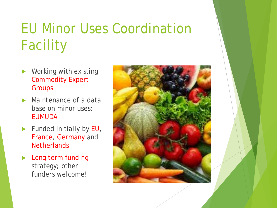# EU Minor Uses Coordination Facility

- Working with existing Commodity Expert **Groups**
- Maintenance of a data base on minor uses: EUMUDA
- Funded initially by EU, France, Germany and **Netherlands**
- Long term funding strategy; other funders welcome!

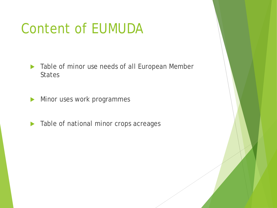# Content of EUMUDA

- **Table of minor use needs of all European Member States**
- Minor uses work programmes
- $\blacktriangleright$  Table of national minor crops acreages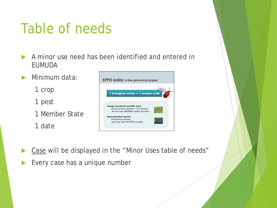## Table of needs

- A minor use need has been identified and entered in EUMUDA
- **Minimum data:** 
	- 1 crop
	- 1 pest
	- 1 Member State
	- 1 date



- Case will be displayed in the "Minor Uses table of needs"
- Every case has a unique number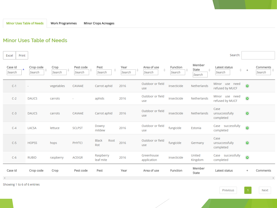#### **Minor Uses Table of Needs**

| Print<br>Excel    |                     |                |                     |                                 |                |                            |                    |                           | Search:                                            |           |                    |
|-------------------|---------------------|----------------|---------------------|---------------------------------|----------------|----------------------------|--------------------|---------------------------|----------------------------------------------------|-----------|--------------------|
| Case id<br>Search | Crop code<br>Search | Crop<br>Search | Pest code<br>Search | Pest<br>$\Rightarrow$<br>Search | Year<br>Search | Area of use<br>÷<br>Search | Function<br>Search | Member<br>State<br>Search | Latest status<br>$\frac{\Delta}{\nabla}$<br>Search | $+$       | Comments<br>Search |
| $C-1$             |                     | vegetables     | CAVAAE              | Carrot aphid                    | 2016           | Outdoor or field<br>use    | insecticide        | Netherlands               | Minor use need<br>refused by MUCF                  | $\bullet$ |                    |
| $C-2$             | <b>DAUCS</b>        | carrots        |                     | aphids                          | 2016           | Outdoor or field<br>use    | insecticide        | Netherlands               | Minor use need<br>refused by MUCF                  | $\bullet$ |                    |
| $C-3$             | <b>DAUCS</b>        | carrots        | CAVAAE              | Carrot aphid                    | 2016           | Outdoor or field<br>use    | insecticide        | Netherlands               | Case<br>unsuccessfully<br>completed                | $\bullet$ |                    |
| $C-4$             | LACSA               | lettuce        | <b>SCLPST</b>       | Downy<br>mildew                 | 2016           | Outdoor or field<br>use    | fungicide          | Estonia                   | Case successfully<br>completed                     | $\bullet$ |                    |
| $C-5$             | <b>HOPSS</b>        | hops           | <b>PHYTCI</b>       | <b>Black</b><br>Root<br>Rot     | 2016           | Outdoor or field<br>use    | fungicide          | Germany                   | Case<br>unsuccessfully<br>completed                | $\bullet$ |                    |
| $C-6$             | <b>RUBID</b>        | raspberry      | <b>ACEIGR</b>       | Raspberry<br>leaf mite          | 2016           | Greenhouse<br>application  | insecticide        | United<br>Kingdom         | Case successfully<br>completed                     | $\bullet$ |                    |
| Case id           | Crop code           | Crop           | Pest code           | Pest                            | Year           | Area of use                | Function           | Member<br>State           | Latest status                                      | $\ddot{}$ | Comments           |

Showing 1 to 6 of 6 entries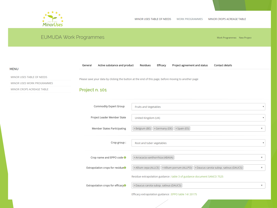

**MENU** 

#### **EUMUDA Work Programmes** Work Programmes · New Project Active substance and product Project agreement and status General Residues Efficacy Contact details MINOR USES TABLE OF NEEDS Please save your data by clicking the button at the end of this page, before moving to another page MINOR USES WORK PROGRAMMES Project n. 101 MINOR CROPS ACREAGE TABLE Commodity Expert Group Fruits and Vegetables  $\mathbf{v}$ Project Leader Member State United Kingdom (UK) **x Belgium (BE)** x Germany (DE) x Spain (ES) **Member States Participating**  $\times$ Crop group: Root and tuber vegetables Crop name and EPPO code <sup>O</sup> × Arracacia xanthorrhiza (ABAXA)  $\times$ [x Allium cepa (ALLCE) | x Allium porrum (ALLPO) | x Daucus carota subsp. sativus (DAUCS) |  $\times$ Extrapolation crops for residue<sup>O</sup> Residue extrapolation guidance : table 3 of guidance document SANCO 7525 Extrapolation crops for efficacy<sup>O</sup> × Daucus carota subsp. sativus (DAUCS)  $\times$ Efficacy extrapolation guidance : EPPO table 14/20175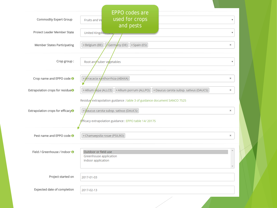| Commodity Expert Group                        | <b>EPPO codes are</b><br>used for crops<br>Fruits and Ve                                                                                                                                                                            | v |
|-----------------------------------------------|-------------------------------------------------------------------------------------------------------------------------------------------------------------------------------------------------------------------------------------|---|
|                                               | and pests                                                                                                                                                                                                                           |   |
| Project Leader Member State                   | United Kingdom                                                                                                                                                                                                                      | v |
| <b>Member States Participating</b>            | × Belgium (BE)<br>Germany (DE)   × Spain (ES)                                                                                                                                                                                       | × |
| Crop group:                                   | Root and tuber vegetables                                                                                                                                                                                                           | v |
| Crop name and EPPO code O                     | × Krracacia xanthorrhiza (ABAXA)                                                                                                                                                                                                    | × |
| Extrapolation crops for residue <sup>O</sup>  | × Allium gepa (ALLCE)   × Allium porrum (ALLPO)   × Daucus carota subsp. sativus (DAUCS)                                                                                                                                            | × |
| Extrapolation crops for efficacy <sup>O</sup> | Residue extrapolation guidance : table 3 of guidance document SANCO 7525<br>$\mathop{\boxtimes}$ $\cancel{\phi}$ aucus carota subsp. sativus (DAUCS) $\mathop{\boxtimes}$<br>gfficacy extrapolation guidance : EPPO table 14/ 20175 | × |
| Pest name and EPPO code O                     | × Chamaepsila rosae (PSILRO)                                                                                                                                                                                                        | × |
| Field / Greenhouse / Indoor O                 | Outdoor or field use<br>Greenhouse application<br>Indoor application                                                                                                                                                                |   |
| Project started on                            | 2017-01-03                                                                                                                                                                                                                          |   |
| Expected date of completion                   | 2017-02-13                                                                                                                                                                                                                          |   |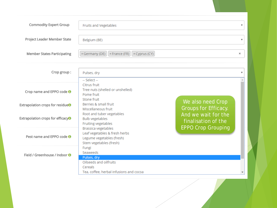| Commodity Expert Group                        | Fruits and Vegetables                                                                 | $\boldsymbol{\mathrm{v}}$                                        |
|-----------------------------------------------|---------------------------------------------------------------------------------------|------------------------------------------------------------------|
| Project Leader Member State                   | Belgium (BE)                                                                          | $\boldsymbol{\mathrm{v}}$                                        |
| Member States Participating                   | $\times$ Germany (DE) $\left  \times$ France (FR) $\right  \times$ Cyprus (CY)        | ×                                                                |
| Crop group:                                   | Pulses, dry<br>-- Select --                                                           | $\overline{\mathbf{v}}$                                          |
| Crop name and EPPO code O                     | Citrus fruit<br>Tree nuts (shelled or unshelled)<br>Pome fruit<br>Stone fruit         |                                                                  |
| Extrapolation crops for residue <sup>O</sup>  | Berries & small fruit<br>Miscellaneous fruit<br>Root and tuber vegetables             | We also need Crop<br>Groups for Efficacy.<br>And we wait for the |
| Extrapolation crops for efficacy <sup>O</sup> | <b>Bulb vegetables</b><br><b>Fruiting vegetables</b><br><b>Brassica vegetables</b>    | finalisation of the<br><b>EPPO Crop Grouping</b>                 |
| Pest name and EPPO code O                     | Leaf vegetables & fresh herbs<br>Legume vegetables (fresh)<br>Stem vegetables (fresh) |                                                                  |
| Field / Greenhouse / Indoor O                 | Fungi<br>Seaweeds<br>Pulses, dry                                                      |                                                                  |
|                                               | Oilseeds and oilfruits<br>Cereals<br>Tea, coffee, herbal infusions and cocoa          |                                                                  |
|                                               |                                                                                       |                                                                  |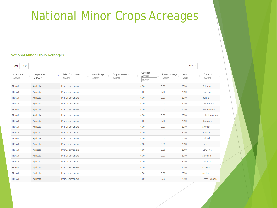### National Minor Crops Acreages

#### **National Minor Crops Acreages**

| Excel<br>Print      |                                          |                                                  |                         |                              |                          | Search:      |                       |
|---------------------|------------------------------------------|--------------------------------------------------|-------------------------|------------------------------|--------------------------|--------------|-----------------------|
| Crop code<br>Search | Crop name<br>$\blacktriangle$<br>apricot | EPPO Crop name<br>Crop Group<br>Search<br>Search | Crop comments<br>Search | Outdoor<br>acreage<br>Search | Indoor acreage<br>Search | Year<br>2010 | Country<br>Search     |
| <b>PRNAR</b>        | Apricots                                 | Prunus armeniaca                                 |                         | 0.00                         | 0.00                     | 2010         | Belgium               |
| <b>PRNAR</b>        | Apricots                                 | Prunus armeniaca                                 |                         | 0.00                         | 0.00                     | 2010         | Germany               |
| <b>PRNAR</b>        | Apricots                                 | Prunus armeniaca                                 |                         | 0.00                         | 0.00                     | 2010         | Ireland               |
| <b>PRNAR</b>        | Apricots                                 | Prunus armeniaca                                 |                         | 0.00                         | 0.00                     | 2010         | Luxembourg            |
| <b>PRNAR</b>        | Apricots                                 | Prunus armeniaca                                 |                         | 0.00                         | 0.00                     | 2010         | Netherlands           |
| <b>PRNAR</b>        | Apricots                                 | Prunus armeniaca                                 |                         | 0.00                         | 0.00                     | 2010         | United Kingdom        |
| <b>PRNAR</b>        | Apricots                                 | Prunus armeniaca                                 |                         | 0.00                         | 0.00                     | 2010         | Denmark               |
| <b>PRNAR</b>        | Apricots                                 | Prunus armeniaca                                 |                         | 0.00                         | 0.00                     | 2010         | Sweden                |
| <b>PRNAR</b>        | Apricots                                 | Prunus armeniaca                                 |                         | 0.00                         | 0.00                     | 2010         | Estonia               |
| <b>PRNAR</b>        | Apricots                                 | Prunus armeniaca                                 |                         | 0.00                         | 0.00                     | 2010         | Finland               |
| <b>PRNAR</b>        | Apricots                                 | Prunus armeniaca                                 |                         | 0.00                         | 0.00                     | 2010         | Latvia                |
| <b>PRNAR</b>        | Apricots                                 | Prunus armeniaca                                 |                         | 0.00                         | 0.00                     | 2010         | Lithuania             |
| <b>PRNAR</b>        | Apricots                                 | Prunus armeniaca                                 |                         | 0.00                         | 0.00                     | 2010         | Slovenia              |
| <b>PRNAR</b>        | Apricots                                 | Prunus armeniaca                                 |                         | 0.20                         | 0.00                     | 2010         | Slovakia              |
| <b>PRNAR</b>        | Apricots                                 | Prunus armeniaca                                 |                         | 0.30                         | 0.00                     | 2010         | Croatia               |
| <b>PRNAR</b>        | Apricots                                 | Prunus armeniaca                                 |                         | 0.50                         | 0.00                     | 2010         | Austria               |
| <b>PRNAR</b>        | Apricots                                 | Prunus armeniaca                                 |                         | 1.60                         | 0.00                     | 2010         | <b>Czech Republic</b> |